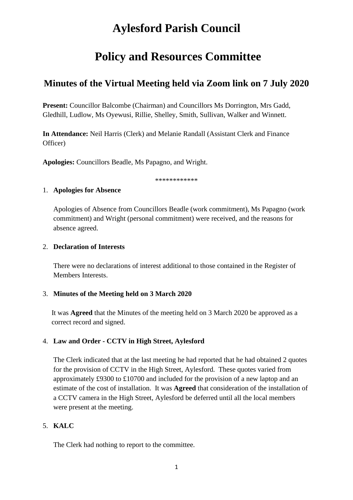# **Aylesford Parish Council**

# **Policy and Resources Committee**

# **Minutes of the Virtual Meeting held via Zoom link on 7 July 2020**

**Present:** Councillor Balcombe (Chairman) and Councillors Ms Dorrington, Mrs Gadd, Gledhill, Ludlow, Ms Oyewusi, Rillie, Shelley, Smith, Sullivan, Walker and Winnett.

**In Attendance:** Neil Harris (Clerk) and Melanie Randall (Assistant Clerk and Finance Officer)

**Apologies:** Councillors Beadle, Ms Papagno, and Wright.

\*\*\*\*\*\*\*\*\*\*\*\*

#### 1. **Apologies for Absence**

Apologies of Absence from Councillors Beadle (work commitment), Ms Papagno (work commitment) and Wright (personal commitment) were received, and the reasons for absence agreed.

#### 2. **Declaration of Interests**

There were no declarations of interest additional to those contained in the Register of Members Interests.

#### 3. **Minutes of the Meeting held on 3 March 2020**

It was **Agreed** that the Minutes of the meeting held on 3 March 2020 be approved as a correct record and signed.

#### 4. **Law and Order - CCTV in High Street, Aylesford**

The Clerk indicated that at the last meeting he had reported that he had obtained 2 quotes for the provision of CCTV in the High Street, Aylesford. These quotes varied from approximately £9300 to £10700 and included for the provision of a new laptop and an estimate of the cost of installation. It was **Agreed** that consideration of the installation of a CCTV camera in the High Street, Aylesford be deferred until all the local members were present at the meeting.

### 5. **KALC**

The Clerk had nothing to report to the committee.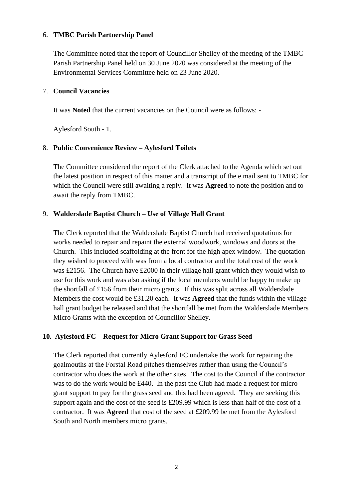#### 6. **TMBC Parish Partnership Panel**

The Committee noted that the report of Councillor Shelley of the meeting of the TMBC Parish Partnership Panel held on 30 June 2020 was considered at the meeting of the Environmental Services Committee held on 23 June 2020.

#### 7. **Council Vacancies**

It was **Noted** that the current vacancies on the Council were as follows: -

Aylesford South - 1.

#### 8. **Public Convenience Review – Aylesford Toilets**

The Committee considered the report of the Clerk attached to the Agenda which set out the latest position in respect of this matter and a transcript of the e mail sent to TMBC for which the Council were still awaiting a reply. It was **Agreed** to note the position and to await the reply from TMBC.

#### 9. **Walderslade Baptist Church – Use of Village Hall Grant**

The Clerk reported that the Walderslade Baptist Church had received quotations for works needed to repair and repaint the external woodwork, windows and doors at the Church. This included scaffolding at the front for the high apex window. The quotation they wished to proceed with was from a local contractor and the total cost of the work was £2156. The Church have £2000 in their village hall grant which they would wish to use for this work and was also asking if the local members would be happy to make up the shortfall of £156 from their micro grants. If this was split across all Walderslade Members the cost would be £31.20 each. It was **Agreed** that the funds within the village hall grant budget be released and that the shortfall be met from the Walderslade Members Micro Grants with the exception of Councillor Shelley.

#### **10. Aylesford FC – Request for Micro Grant Support for Grass Seed**

The Clerk reported that currently Aylesford FC undertake the work for repairing the goalmouths at the Forstal Road pitches themselves rather than using the Council's contractor who does the work at the other sites. The cost to the Council if the contractor was to do the work would be £440. In the past the Club had made a request for micro grant support to pay for the grass seed and this had been agreed. They are seeking this support again and the cost of the seed is £209.99 which is less than half of the cost of a contractor. It was **Agreed** that cost of the seed at £209.99 be met from the Aylesford South and North members micro grants.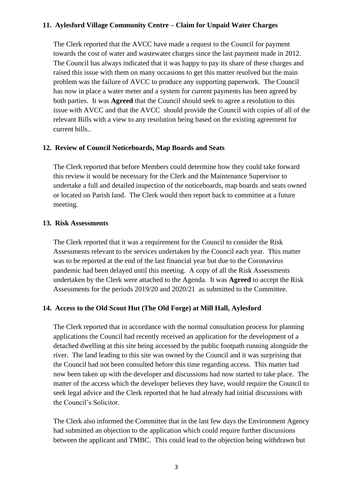#### **11. Aylesford Village Community Centre – Claim for Unpaid Water Charges**

The Clerk reported that the AVCC have made a request to the Council for payment towards the cost of water and wastewater charges since the last payment made in 2012. The Council has always indicated that it was happy to pay its share of these charges and raised this issue with them on many occasions to get this matter resolved but the main problem was the failure of AVCC to produce any supporting paperwork. The Council has now in place a water meter and a system for current payments has been agreed by both parties. It was **Agreed** that the Council should seek to agree a resolution to this issue with AVCC and that the AVCC should provide the Council with copies of all of the relevant Bills with a view to any resolution being based on the existing agreement for current bills..

#### **12. Review of Council Noticeboards, Map Boards and Seats**

The Clerk reported that before Members could determine how they could take forward this review it would be necessary for the Clerk and the Maintenance Supervisor to undertake a full and detailed inspection of the noticeboards, map boards and seats owned or located on Parish land. The Clerk would then report back to committee at a future meeting.

#### **13. Risk Assessments**

The Clerk reported that it was a requirement for the Council to consider the Risk Assessments relevant to the services undertaken by the Council each year. This matter was to be reported at the end of the last financial year but due to the Coronavirus pandemic had been delayed until this meeting. A copy of all the Risk Assessments undertaken by the Clerk were attached to the Agenda. It was **Agreed** to accept the Risk Assessments for the periods 2019/20 and 2020/21 as submitted to the Committee.

#### **14. Access to the Old Scout Hut (The Old Forge) at Mill Hall, Aylesford**

The Clerk reported that in accordance with the normal consultation process for planning applications the Council had recently received an application for the development of a detached dwelling at this site being accessed by the public footpath running alongside the river. The land leading to this site was owned by the Council and it was surprising that the Council had not been consulted before this time regarding access. This matter had now been taken up with the developer and discussions had now started to take place. The matter of the access which the developer believes they have, would require the Council to seek legal advice and the Clerk reported that he had already had initial discussions with the Council's Solicitor.

The Clerk also informed the Committee that in the last few days the Environment Agency had submitted an objection to the application which could require further discussions between the applicant and TMBC. This could lead to the objection being withdrawn but